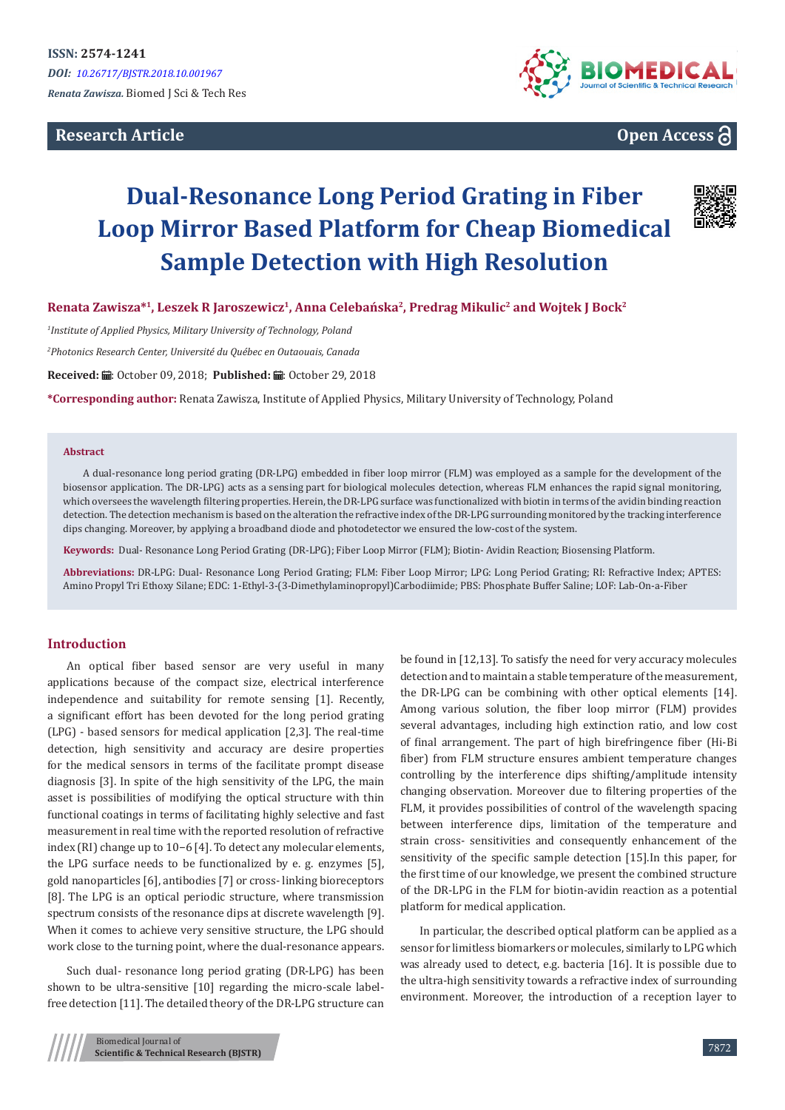**Research Article**



# **Open Access**

# **Dual-Resonance Long Period Grating in Fiber Loop Mirror Based Platform for Cheap Biomedical Sample Detection with High Resolution**



**Renata Zawisza\*<sup>1</sup>, Leszek R Jaroszewicz<sup>1</sup>, Anna Celebańska<sup>2</sup>, Predrag Mikulic<sup>2</sup> and Wojtek J Bock<sup>2</sup>**

*1 Institute of Applied Physics, Military University of Technology, Poland*

*2 Photonics Research Center, Université du Québec en Outaouais, Canada*

Received: *a* : October 09, 2018; Published: a : October 29, 2018

**\*Corresponding author:** Renata Zawisza, Institute of Applied Physics, Military University of Technology, Poland

#### **Abstract**

A dual-resonance long period grating (DR-LPG) embedded in fiber loop mirror (FLM) was employed as a sample for the development of the biosensor application. The DR-LPG) acts as a sensing part for biological molecules detection, whereas FLM enhances the rapid signal monitoring, which oversees the wavelength filtering properties. Herein, the DR-LPG surface was functionalized with biotin in terms of the avidin binding reaction detection. The detection mechanism is based on the alteration the refractive index of the DR-LPG surrounding monitored by the tracking interference dips changing. Moreover, by applying a broadband diode and photodetector we ensured the low-cost of the system.

**Keywords:** Dual- Resonance Long Period Grating (DR-LPG); Fiber Loop Mirror (FLM); Biotin- Avidin Reaction; Biosensing Platform.

**Abbreviations:** DR-LPG: Dual- Resonance Long Period Grating; FLM: Fiber Loop Mirror; LPG: Long Period Grating; RI: Refractive Index; APTES: Amino Propyl Tri Ethoxy Silane; EDC: 1-Ethyl-3-(3-Dimethylaminopropyl)Carbodiimide; PBS: Phosphate Buffer Saline; LOF: Lab-On-a-Fiber

### **Introduction**

An optical fiber based sensor are very useful in many applications because of the compact size, electrical interference independence and suitability for remote sensing [1]. Recently, a significant effort has been devoted for the long period grating (LPG) - based sensors for medical application [2,3]. The real-time detection, high sensitivity and accuracy are desire properties for the medical sensors in terms of the facilitate prompt disease diagnosis [3]. In spite of the high sensitivity of the LPG, the main asset is possibilities of modifying the optical structure with thin functional coatings in terms of facilitating highly selective and fast measurement in real time with the reported resolution of refractive index (RI) change up to 10−6 [4]. To detect any molecular elements, the LPG surface needs to be functionalized by e. g. enzymes [5], gold nanoparticles [6], antibodies [7] or cross- linking bioreceptors [8]. The LPG is an optical periodic structure, where transmission spectrum consists of the resonance dips at discrete wavelength [9]. When it comes to achieve very sensitive structure, the LPG should work close to the turning point, where the dual-resonance appears.

Such dual- resonance long period grating (DR-LPG) has been shown to be ultra-sensitive [10] regarding the micro-scale labelfree detection [11]. The detailed theory of the DR-LPG structure can be found in [12,13]. To satisfy the need for very accuracy molecules detection and to maintain a stable temperature of the measurement, the DR-LPG can be combining with other optical elements [14]. Among various solution, the fiber loop mirror (FLM) provides several advantages, including high extinction ratio, and low cost of final arrangement. The part of high birefringence fiber (Hi-Bi fiber) from FLM structure ensures ambient temperature changes controlling by the interference dips shifting/amplitude intensity changing observation. Moreover due to filtering properties of the FLM, it provides possibilities of control of the wavelength spacing between interference dips, limitation of the temperature and strain cross- sensitivities and consequently enhancement of the sensitivity of the specific sample detection [15].In this paper, for the first time of our knowledge, we present the combined structure of the DR-LPG in the FLM for biotin-avidin reaction as a potential platform for medical application.

In particular, the described optical platform can be applied as a sensor for limitless biomarkers or molecules, similarly to LPG which was already used to detect, e.g. bacteria [16]. It is possible due to the ultra-high sensitivity towards a refractive index of surrounding environment. Moreover, the introduction of a reception layer to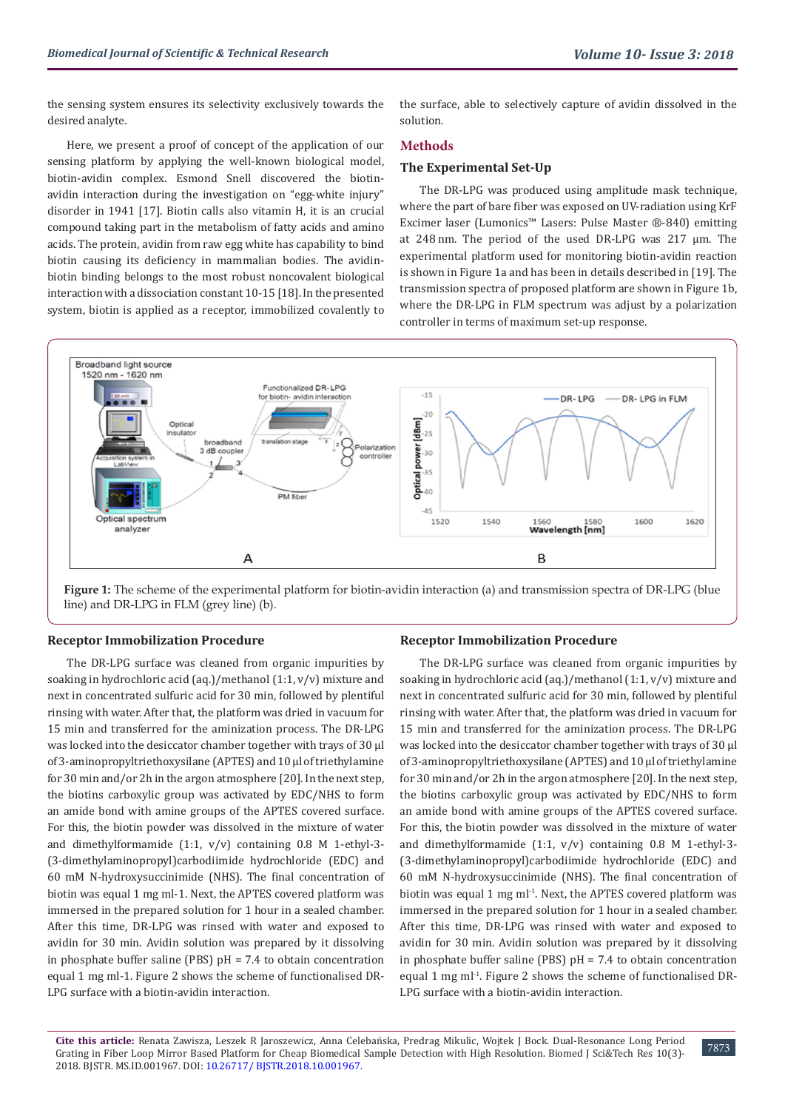the sensing system ensures its selectivity exclusively towards the desired analyte.

Here, we present a proof of concept of the application of our sensing platform by applying the well-known biological model, biotin-avidin complex. Esmond Snell discovered the biotinavidin interaction during the investigation on "egg-white injury" disorder in 1941 [17]. Biotin calls also vitamin H, it is an crucial compound taking part in the metabolism of fatty acids and amino acids. The protein, avidin from raw egg white has capability to bind biotin causing its deficiency in mammalian bodies. The avidinbiotin binding belongs to the most robust noncovalent biological interaction with a dissociation constant 10-15 [18]. In the presented system, biotin is applied as a receptor, immobilized covalently to

the surface, able to selectively capture of avidin dissolved in the solution.

#### **Methods**

#### **The Experimental Set-Up**

The DR-LPG was produced using amplitude mask technique, where the part of bare fiber was exposed on UV-radiation using KrF Excimer laser (Lumonics™ Lasers: Pulse Master ®-840) emitting at 248 nm. The period of the used DR-LPG was 217 μm. The experimental platform used for monitoring biotin-avidin reaction is shown in Figure 1a and has been in details described in [19]. The transmission spectra of proposed platform are shown in Figure 1b, where the DR-LPG in FLM spectrum was adjust by a polarization controller in terms of maximum set-up response.



**Figure 1:** The scheme of the experimental platform for biotin-avidin interaction (a) and transmission spectra of DR-LPG (blue line) and DR-LPG in FLM (grey line) (b).

## **Receptor Immobilization Procedure**

The DR-LPG surface was cleaned from organic impurities by soaking in hydrochloric acid (aq.)/methanol (1:1, v/v) mixture and next in concentrated sulfuric acid for 30 min, followed by plentiful rinsing with water. After that, the platform was dried in vacuum for 15 min and transferred for the aminization process. The DR-LPG was locked into the desiccator chamber together with trays of 30 µl of 3-aminopropyltriethoxysilane (APTES) and 10 µl of triethylamine for 30 min and/or 2h in the argon atmosphere [20]. In the next step, the biotins carboxylic group was activated by EDC/NHS to form an amide bond with amine groups of the APTES covered surface. For this, the biotin powder was dissolved in the mixture of water and dimethylformamide (1:1, v/v) containing 0.8 M 1-ethyl-3- (3-dimethylaminopropyl)carbodiimide hydrochloride (EDC) and 60 mM N-hydroxysuccinimide (NHS). The final concentration of biotin was equal 1 mg ml-1. Next, the APTES covered platform was immersed in the prepared solution for 1 hour in a sealed chamber. After this time, DR-LPG was rinsed with water and exposed to avidin for 30 min. Avidin solution was prepared by it dissolving in phosphate buffer saline (PBS)  $pH = 7.4$  to obtain concentration equal 1 mg ml-1. Figure 2 shows the scheme of functionalised DR-LPG surface with a biotin-avidin interaction.

# **Receptor Immobilization Procedure**

The DR-LPG surface was cleaned from organic impurities by soaking in hydrochloric acid (aq.)/methanol (1:1, v/v) mixture and next in concentrated sulfuric acid for 30 min, followed by plentiful rinsing with water. After that, the platform was dried in vacuum for 15 min and transferred for the aminization process. The DR-LPG was locked into the desiccator chamber together with trays of 30 µl of 3-aminopropyltriethoxysilane (APTES) and 10 µl of triethylamine for 30 min and/or 2h in the argon atmosphere [20]. In the next step, the biotins carboxylic group was activated by EDC/NHS to form an amide bond with amine groups of the APTES covered surface. For this, the biotin powder was dissolved in the mixture of water and dimethylformamide (1:1, v/v) containing 0.8 M 1-ethyl-3- (3-dimethylaminopropyl)carbodiimide hydrochloride (EDC) and 60 mM N-hydroxysuccinimide (NHS). The final concentration of biotin was equal 1 mg ml<sup>-1</sup>. Next, the APTES covered platform was immersed in the prepared solution for 1 hour in a sealed chamber. After this time, DR-LPG was rinsed with water and exposed to avidin for 30 min. Avidin solution was prepared by it dissolving in phosphate buffer saline (PBS)  $pH = 7.4$  to obtain concentration equal 1 mg m $l<sup>-1</sup>$ . Figure 2 shows the scheme of functionalised DR-LPG surface with a biotin-avidin interaction.

**Cite this article:** Renata Zawisza, Leszek R Jaroszewicz, Anna Celebańska, Predrag Mikulic, Wojtek J Bock. Dual-Resonance Long Period Grating in Fiber Loop Mirror Based Platform for Cheap Biomedical Sample Detection with High Resolution. Biomed J Sci&Tech Res 10(3)- 2018. BJSTR. MS.ID.001967. DOI: [10.26717/ BJSTR.2018.10.001967](http://dx.doi.org/10.26717/BJSTR.2018.10.001967).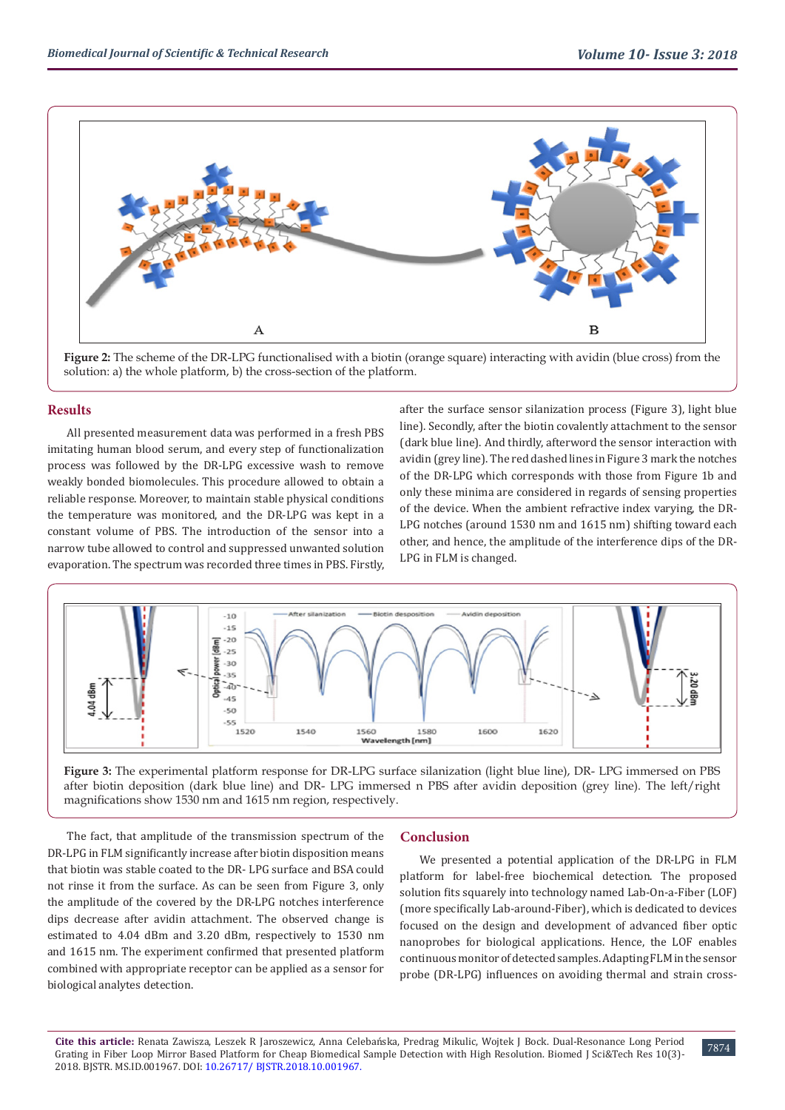

**Figure 2:** The scheme of the DR-LPG functionalised with a biotin (orange square) interacting with avidin (blue cross) from the solution: a) the whole platform, b) the cross-section of the platform.

#### **Results**

All presented measurement data was performed in a fresh PBS imitating human blood serum, and every step of functionalization process was followed by the DR-LPG excessive wash to remove weakly bonded biomolecules. This procedure allowed to obtain a reliable response. Moreover, to maintain stable physical conditions the temperature was monitored, and the DR-LPG was kept in a constant volume of PBS. The introduction of the sensor into a narrow tube allowed to control and suppressed unwanted solution evaporation. The spectrum was recorded three times in PBS. Firstly,

after the surface sensor silanization process (Figure 3), light blue line). Secondly, after the biotin covalently attachment to the sensor (dark blue line). And thirdly, afterword the sensor interaction with avidin (grey line). The red dashed lines in Figure 3 mark the notches of the DR-LPG which corresponds with those from Figure 1b and only these minima are considered in regards of sensing properties of the device. When the ambient refractive index varying, the DR-LPG notches (around 1530 nm and 1615 nm) shifting toward each other, and hence, the amplitude of the interference dips of the DR-LPG in FLM is changed.



**Figure 3:** The experimental platform response for DR-LPG surface silanization (light blue line), DR- LPG immersed on PBS after biotin deposition (dark blue line) and DR- LPG immersed n PBS after avidin deposition (grey line). The left/right magnifications show 1530 nm and 1615 nm region, respectively.

The fact, that amplitude of the transmission spectrum of the DR-LPG in FLM significantly increase after biotin disposition means that biotin was stable coated to the DR- LPG surface and BSA could not rinse it from the surface. As can be seen from Figure 3, only the amplitude of the covered by the DR-LPG notches interference dips decrease after avidin attachment. The observed change is estimated to 4.04 dBm and 3.20 dBm, respectively to 1530 nm and 1615 nm. The experiment confirmed that presented platform combined with appropriate receptor can be applied as a sensor for biological analytes detection.

#### **Conclusion**

We presented a potential application of the DR-LPG in FLM platform for label-free biochemical detection. The proposed solution fits squarely into technology named Lab-On-a-Fiber (LOF) (more specifically Lab-around-Fiber), which is dedicated to devices focused on the design and development of advanced fiber optic nanoprobes for biological applications. Hence, the LOF enables continuous monitor of detected samples. Adapting FLM in the sensor probe (DR-LPG) influences on avoiding thermal and strain cross-

**Cite this article:** Renata Zawisza, Leszek R Jaroszewicz, Anna Celebańska, Predrag Mikulic, Wojtek J Bock. Dual-Resonance Long Period Grating in Fiber Loop Mirror Based Platform for Cheap Biomedical Sample Detection with High Resolution. Biomed J Sci&Tech Res 10(3)- 2018. BJSTR. MS.ID.001967. DOI: [10.26717/ BJSTR.2018.10.001967](http://dx.doi.org/10.26717/BJSTR.2018.10.001967).